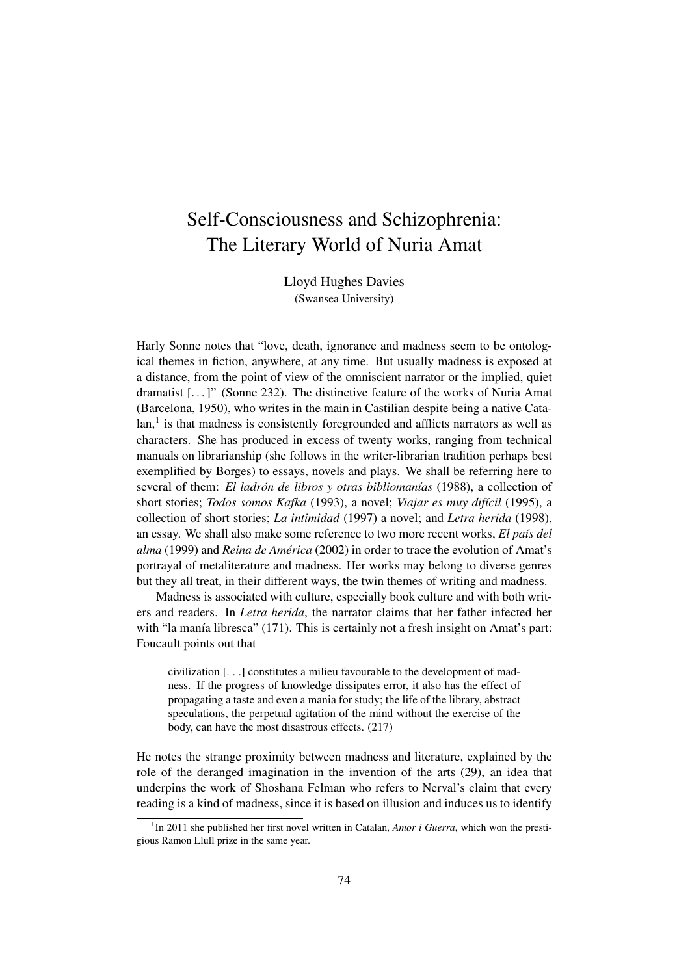## Self-Consciousness and Schizophrenia: The Literary World of Nuria Amat

Lloyd Hughes Davies (Swansea University)

Harly Sonne notes that "love, death, ignorance and madness seem to be ontological themes in fiction, anywhere, at any time. But usually madness is exposed at a distance, from the point of view of the omniscient narrator or the implied, quiet dramatist [. . . ]" (Sonne 232). The distinctive feature of the works of Nuria Amat (Barcelona, 1950), who writes in the main in Castilian despite being a native Cata $lan<sub>i</sub><sup>1</sup>$  is that madness is consistently foregrounded and afflicts narrators as well as characters. She has produced in excess of twenty works, ranging from technical manuals on librarianship (she follows in the writer-librarian tradition perhaps best exemplified by Borges) to essays, novels and plays. We shall be referring here to several of them: *El ladrón de libros y otras bibliomanías* (1988), a collection of short stories; *Todos somos Kafka* (1993), a novel; *Viajar es muy difícil* (1995), a collection of short stories; *La intimidad* (1997) a novel; and *Letra herida* (1998), an essay. We shall also make some reference to two more recent works, *El país del alma* (1999) and *Reina de América* (2002) in order to trace the evolution of Amat's portrayal of metaliterature and madness. Her works may belong to diverse genres but they all treat, in their different ways, the twin themes of writing and madness.

Madness is associated with culture, especially book culture and with both writers and readers. In *Letra herida*, the narrator claims that her father infected her with "la manía libresca" (171). This is certainly not a fresh insight on Amat's part: Foucault points out that

civilization [. . .] constitutes a milieu favourable to the development of madness. If the progress of knowledge dissipates error, it also has the effect of propagating a taste and even a mania for study; the life of the library, abstract speculations, the perpetual agitation of the mind without the exercise of the body, can have the most disastrous effects. (217)

He notes the strange proximity between madness and literature, explained by the role of the deranged imagination in the invention of the arts (29), an idea that underpins the work of Shoshana Felman who refers to Nerval's claim that every reading is a kind of madness, since it is based on illusion and induces us to identify

<sup>&</sup>lt;sup>1</sup>In 2011 she published her first novel written in Catalan, *Amor i Guerra*, which won the prestigious Ramon Llull prize in the same year.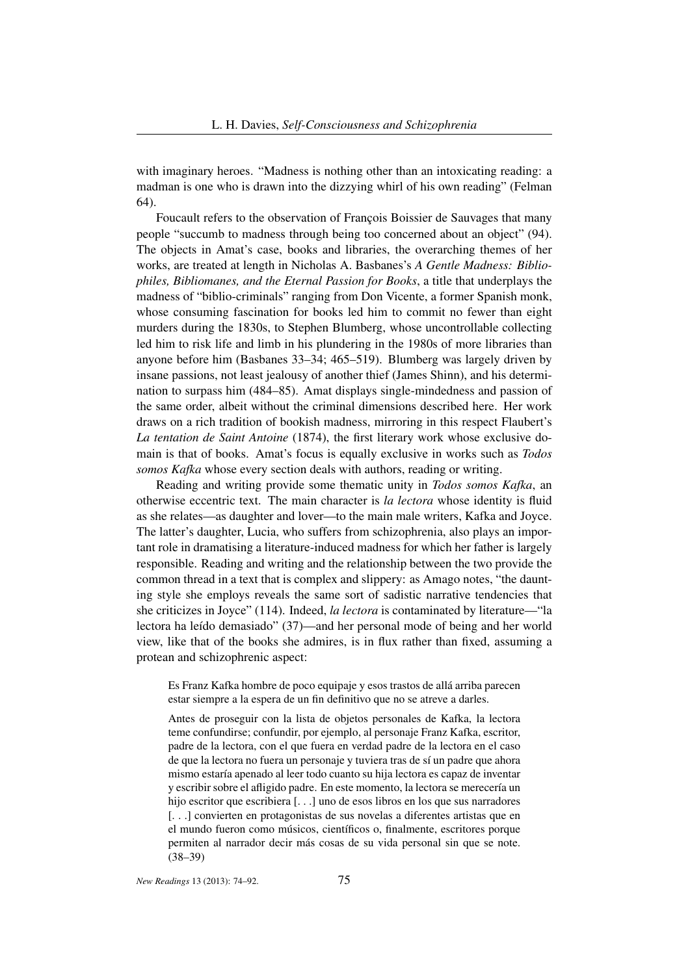with imaginary heroes. "Madness is nothing other than an intoxicating reading: a madman is one who is drawn into the dizzying whirl of his own reading" (Felman 64).

Foucault refers to the observation of François Boissier de Sauvages that many people "succumb to madness through being too concerned about an object" (94). The objects in Amat's case, books and libraries, the overarching themes of her works, are treated at length in Nicholas A. Basbanes's *A Gentle Madness: Bibliophiles, Bibliomanes, and the Eternal Passion for Books*, a title that underplays the madness of "biblio-criminals" ranging from Don Vicente, a former Spanish monk, whose consuming fascination for books led him to commit no fewer than eight murders during the 1830s, to Stephen Blumberg, whose uncontrollable collecting led him to risk life and limb in his plundering in the 1980s of more libraries than anyone before him (Basbanes 33–34; 465–519). Blumberg was largely driven by insane passions, not least jealousy of another thief (James Shinn), and his determination to surpass him (484–85). Amat displays single-mindedness and passion of the same order, albeit without the criminal dimensions described here. Her work draws on a rich tradition of bookish madness, mirroring in this respect Flaubert's *La tentation de Saint Antoine* (1874), the first literary work whose exclusive domain is that of books. Amat's focus is equally exclusive in works such as *Todos somos Kafka* whose every section deals with authors, reading or writing.

Reading and writing provide some thematic unity in *Todos somos Kafka*, an otherwise eccentric text. The main character is *la lectora* whose identity is fluid as she relates—as daughter and lover—to the main male writers, Kafka and Joyce. The latter's daughter, Lucia, who suffers from schizophrenia, also plays an important role in dramatising a literature-induced madness for which her father is largely responsible. Reading and writing and the relationship between the two provide the common thread in a text that is complex and slippery: as Amago notes, "the daunting style she employs reveals the same sort of sadistic narrative tendencies that she criticizes in Joyce" (114). Indeed, *la lectora* is contaminated by literature—"la lectora ha leído demasiado" (37)—and her personal mode of being and her world view, like that of the books she admires, is in flux rather than fixed, assuming a protean and schizophrenic aspect:

Es Franz Kafka hombre de poco equipaje y esos trastos de allá arriba parecen estar siempre a la espera de un fin definitivo que no se atreve a darles.

Antes de proseguir con la lista de objetos personales de Kafka, la lectora teme confundirse; confundir, por ejemplo, al personaje Franz Kafka, escritor, padre de la lectora, con el que fuera en verdad padre de la lectora en el caso de que la lectora no fuera un personaje y tuviera tras de sí un padre que ahora mismo estaría apenado al leer todo cuanto su hija lectora es capaz de inventar y escribir sobre el afligido padre. En este momento, la lectora se merecería un hijo escritor que escribiera [. . .] uno de esos libros en los que sus narradores [...] convierten en protagonistas de sus novelas a diferentes artistas que en el mundo fueron como músicos, científicos o, finalmente, escritores porque permiten al narrador decir más cosas de su vida personal sin que se note. (38–39)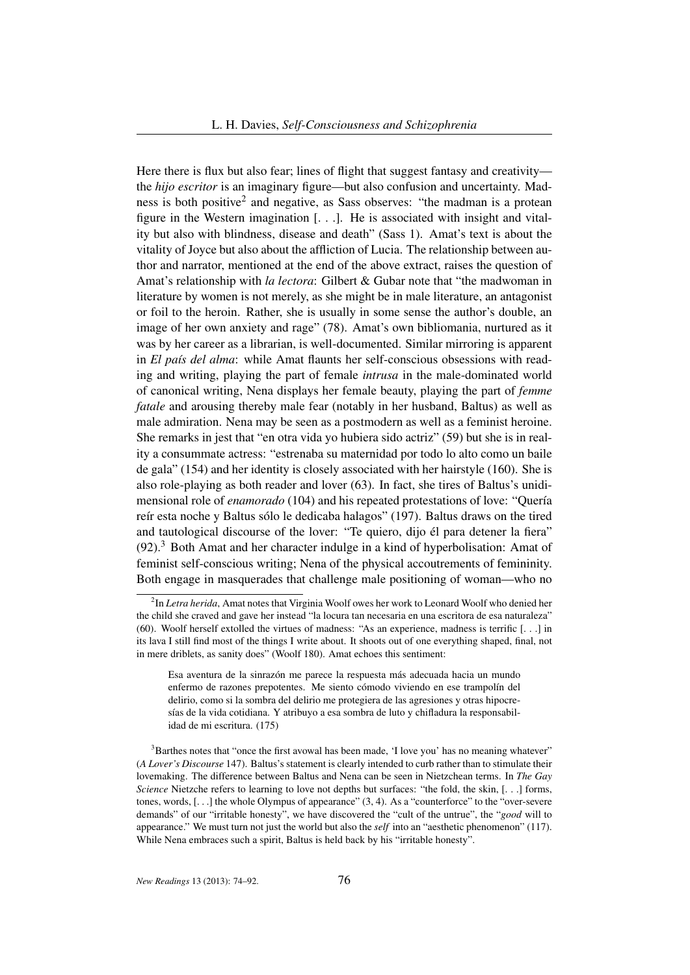Here there is flux but also fear; lines of flight that suggest fantasy and creativity the *hijo escritor* is an imaginary figure—but also confusion and uncertainty. Madness is both positive<sup>2</sup> and negative, as Sass observes: "the madman is a protean figure in the Western imagination [. . .]. He is associated with insight and vitality but also with blindness, disease and death" (Sass 1). Amat's text is about the vitality of Joyce but also about the affliction of Lucia. The relationship between author and narrator, mentioned at the end of the above extract, raises the question of Amat's relationship with *la lectora*: Gilbert & Gubar note that "the madwoman in literature by women is not merely, as she might be in male literature, an antagonist or foil to the heroin. Rather, she is usually in some sense the author's double, an image of her own anxiety and rage" (78). Amat's own bibliomania, nurtured as it was by her career as a librarian, is well-documented. Similar mirroring is apparent in *El país del alma*: while Amat flaunts her self-conscious obsessions with reading and writing, playing the part of female *intrusa* in the male-dominated world of canonical writing, Nena displays her female beauty, playing the part of *femme fatale* and arousing thereby male fear (notably in her husband, Baltus) as well as male admiration. Nena may be seen as a postmodern as well as a feminist heroine. She remarks in jest that "en otra vida yo hubiera sido actriz" (59) but she is in reality a consummate actress: "estrenaba su maternidad por todo lo alto como un baile de gala" (154) and her identity is closely associated with her hairstyle (160). She is also role-playing as both reader and lover (63). In fact, she tires of Baltus's unidimensional role of *enamorado* (104) and his repeated protestations of love: "Quería reír esta noche y Baltus sólo le dedicaba halagos" (197). Baltus draws on the tired and tautological discourse of the lover: "Te quiero, dijo él para detener la fiera"  $(92)$ .<sup>3</sup> Both Amat and her character indulge in a kind of hyperbolisation: Amat of feminist self-conscious writing; Nena of the physical accoutrements of femininity. Both engage in masquerades that challenge male positioning of woman—who no

<sup>2</sup> In *Letra herida*, Amat notes that Virginia Woolf owes her work to Leonard Woolf who denied her the child she craved and gave her instead "la locura tan necesaria en una escritora de esa naturaleza" (60). Woolf herself extolled the virtues of madness: "As an experience, madness is terrific [. . .] in its lava I still find most of the things I write about. It shoots out of one everything shaped, final, not in mere driblets, as sanity does" (Woolf 180). Amat echoes this sentiment:

Esa aventura de la sinrazón me parece la respuesta más adecuada hacia un mundo enfermo de razones prepotentes. Me siento cómodo viviendo en ese trampolín del delirio, como si la sombra del delirio me protegiera de las agresiones y otras hipocresías de la vida cotidiana. Y atribuyo a esa sombra de luto y chifladura la responsabilidad de mi escritura. (175)

<sup>&</sup>lt;sup>3</sup>Barthes notes that "once the first avowal has been made, 'I love you' has no meaning whatever" (*A Lover's Discourse* 147). Baltus's statement is clearly intended to curb rather than to stimulate their lovemaking. The difference between Baltus and Nena can be seen in Nietzchean terms. In *The Gay Science* Nietzche refers to learning to love not depths but surfaces: "the fold, the skin, [...] forms, tones, words, [. . .] the whole Olympus of appearance" (3, 4). As a "counterforce" to the "over-severe demands" of our "irritable honesty", we have discovered the "cult of the untrue", the "*good* will to appearance." We must turn not just the world but also the *self* into an "aesthetic phenomenon" (117). While Nena embraces such a spirit, Baltus is held back by his "irritable honesty".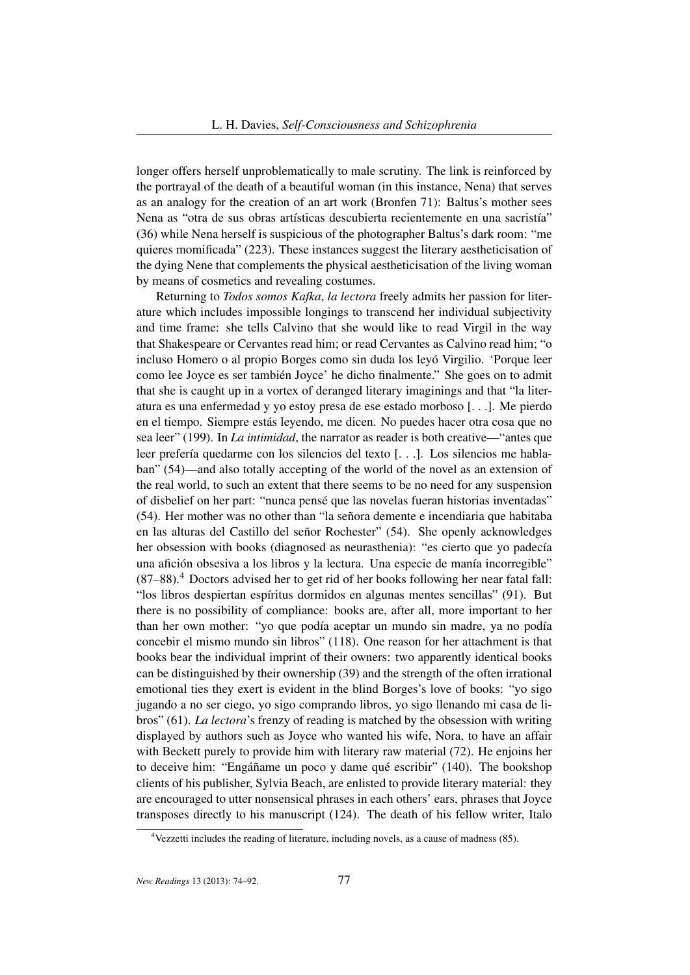longer offers herself unproblematically to male scrutiny. The link is reinforced by the portrayal of the death of a beautiful woman (in this instance, Nena) that serves as an analogy for the creation of an art work (Bronfen 71): Baltus's mother sees Nena as "otra de sus obras artísticas descubierta recientemente en una sacristía" (36) while Nena herself is suspicious of the photographer Baltus's dark room: "me quieres momificada" (223). These instances suggest the literary aestheticisation of the dying Nene that complements the physical aestheticisation of the living woman by means of cosmetics and revealing costumes.

Returning to *Todos somos Kafka*, *la lectora* freely admits her passion for literature which includes impossible longings to transcend her individual subjectivity and time frame: she tells Calvino that she would like to read Virgil in the way that Shakespeare or Cervantes read him; or read Cervantes as Calvino read him; "o incluso Homero o al propio Borges como sin duda los leyó Virgilio. 'Porque leer como lee Joyce es ser también Joyce' he dicho finalmente." She goes on to admit that she is caught up in a vortex of deranged literary imaginings and that "la literatura es una enfermedad y yo estoy presa de ese estado morboso [. . .]. Me pierdo en el tiempo. Siempre estás leyendo, me dicen. No puedes hacer otra cosa que no sea leer" (199). In *La intimidad*, the narrator as reader is both creative—"antes que leer prefería quedarme con los silencios del texto [. . .]. Los silencios me hablaban" (54)—and also totally accepting of the world of the novel as an extension of the real world, to such an extent that there seems to be no need for any suspension of disbelief on her part: "nunca pensé que las novelas fueran historias inventadas" (54). Her mother was no other than "la señora demente e incendiaria que habitaba en las alturas del Castillo del señor Rochester" (54). She openly acknowledges her obsession with books (diagnosed as neurasthenia): "es cierto que yo padecía una afición obsesiva a los libros y la lectura. Una especie de manía incorregible" (87–88).<sup>4</sup> Doctors advised her to get rid of her books following her near fatal fall: "los libros despiertan espíritus dormidos en algunas mentes sencillas" (91). But there is no possibility of compliance: books are, after all, more important to her than her own mother: "yo que podía aceptar un mundo sin madre, ya no podía concebir el mismo mundo sin libros" (118). One reason for her attachment is that books bear the individual imprint of their owners: two apparently identical books can be distinguished by their ownership (39) and the strength of the often irrational emotional ties they exert is evident in the blind Borges's love of books: "yo sigo jugando a no ser ciego, yo sigo comprando libros, yo sigo llenando mi casa de libros" (61). *La lectora*'s frenzy of reading is matched by the obsession with writing displayed by authors such as Joyce who wanted his wife, Nora, to have an affair with Beckett purely to provide him with literary raw material (72). He enjoins her to deceive him: "Engáñame un poco y dame qué escribir" (140). The bookshop clients of his publisher, Sylvia Beach, are enlisted to provide literary material: they are encouraged to utter nonsensical phrases in each others' ears, phrases that Joyce transposes directly to his manuscript (124). The death of his fellow writer, Italo

<sup>&</sup>lt;sup>4</sup> Vezzetti includes the reading of literature, including novels, as a cause of madness (85).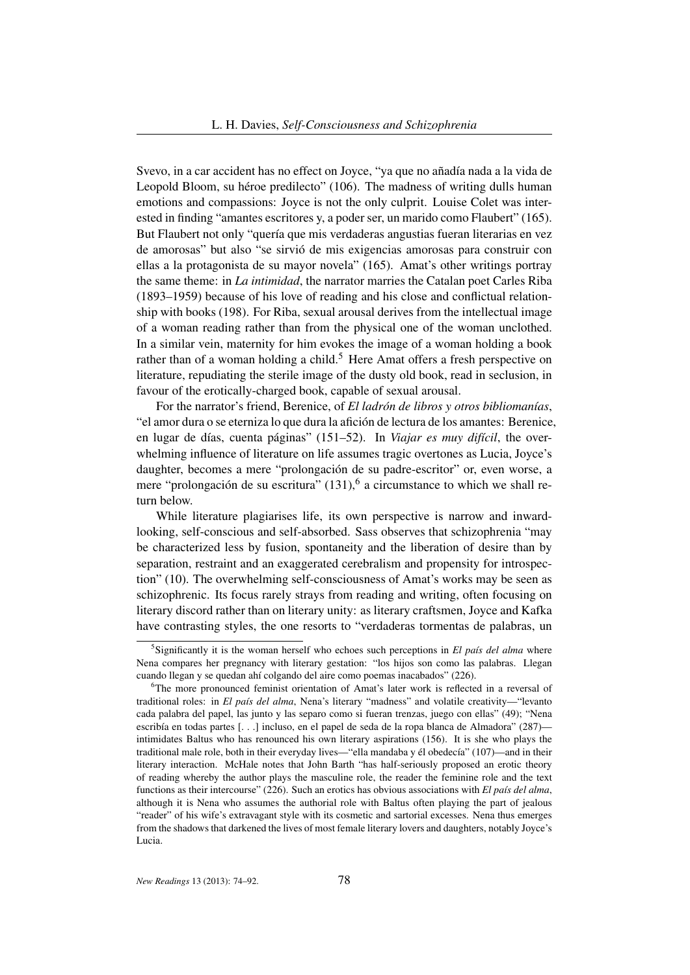Svevo, in a car accident has no effect on Joyce, "ya que no añadía nada a la vida de Leopold Bloom, su héroe predilecto" (106). The madness of writing dulls human emotions and compassions: Joyce is not the only culprit. Louise Colet was interested in finding "amantes escritores y, a poder ser, un marido como Flaubert" (165). But Flaubert not only "quería que mis verdaderas angustias fueran literarias en vez de amorosas" but also "se sirvió de mis exigencias amorosas para construir con ellas a la protagonista de su mayor novela" (165). Amat's other writings portray the same theme: in *La intimidad*, the narrator marries the Catalan poet Carles Riba (1893–1959) because of his love of reading and his close and conflictual relationship with books (198). For Riba, sexual arousal derives from the intellectual image of a woman reading rather than from the physical one of the woman unclothed. In a similar vein, maternity for him evokes the image of a woman holding a book rather than of a woman holding a child.<sup>5</sup> Here Amat offers a fresh perspective on literature, repudiating the sterile image of the dusty old book, read in seclusion, in favour of the erotically-charged book, capable of sexual arousal.

For the narrator's friend, Berenice, of *El ladrón de libros y otros bibliomanías*, "el amor dura o se eterniza lo que dura la afición de lectura de los amantes: Berenice, en lugar de días, cuenta páginas" (151–52). In *Viajar es muy difícil*, the overwhelming influence of literature on life assumes tragic overtones as Lucia, Joyce's daughter, becomes a mere "prolongación de su padre-escritor" or, even worse, a mere "prolongación de su escritura"  $(131)$ , <sup>6</sup> a circumstance to which we shall return below.

While literature plagiarises life, its own perspective is narrow and inwardlooking, self-conscious and self-absorbed. Sass observes that schizophrenia "may be characterized less by fusion, spontaneity and the liberation of desire than by separation, restraint and an exaggerated cerebralism and propensity for introspection" (10). The overwhelming self-consciousness of Amat's works may be seen as schizophrenic. Its focus rarely strays from reading and writing, often focusing on literary discord rather than on literary unity: as literary craftsmen, Joyce and Kafka have contrasting styles, the one resorts to "verdaderas tormentas de palabras, un

<sup>5</sup> Significantly it is the woman herself who echoes such perceptions in *El país del alma* where Nena compares her pregnancy with literary gestation: "los hijos son como las palabras. Llegan cuando llegan y se quedan ahí colgando del aire como poemas inacabados" (226).

<sup>&</sup>lt;sup>6</sup>The more pronounced feminist orientation of Amat's later work is reflected in a reversal of traditional roles: in *El país del alma*, Nena's literary "madness" and volatile creativity—"levanto cada palabra del papel, las junto y las separo como si fueran trenzas, juego con ellas" (49); "Nena escribía en todas partes [. . .] incluso, en el papel de seda de la ropa blanca de Almadora" (287) intimidates Baltus who has renounced his own literary aspirations (156). It is she who plays the traditional male role, both in their everyday lives—"ella mandaba y él obedecía" (107)—and in their literary interaction. McHale notes that John Barth "has half-seriously proposed an erotic theory of reading whereby the author plays the masculine role, the reader the feminine role and the text functions as their intercourse" (226). Such an erotics has obvious associations with *El país del alma*, although it is Nena who assumes the authorial role with Baltus often playing the part of jealous "reader" of his wife's extravagant style with its cosmetic and sartorial excesses. Nena thus emerges from the shadows that darkened the lives of most female literary lovers and daughters, notably Joyce's Lucia.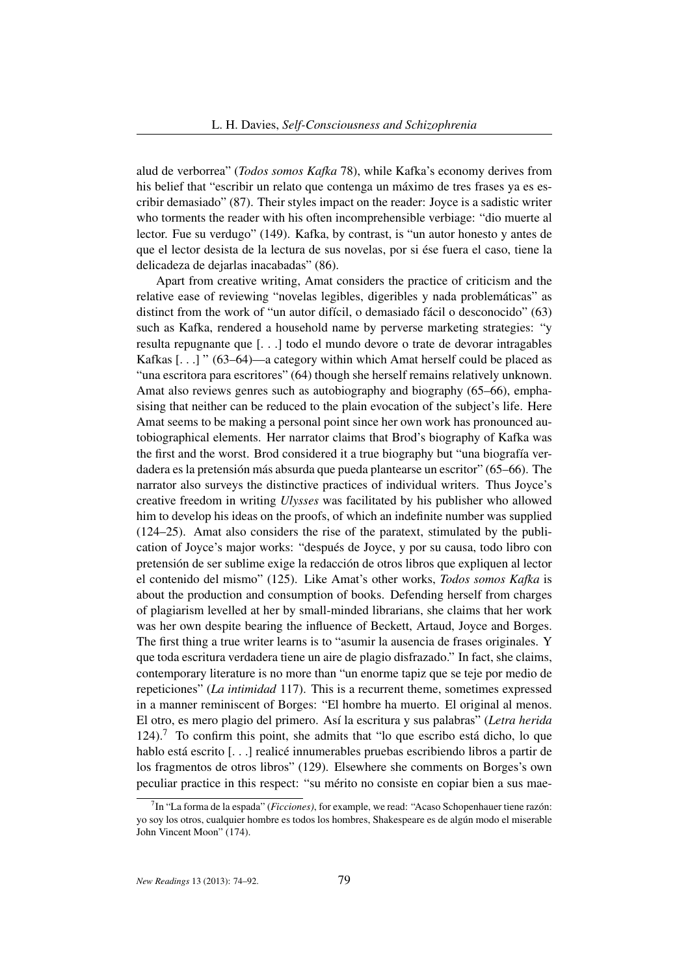alud de verborrea" (*Todos somos Kafka* 78), while Kafka's economy derives from his belief that "escribir un relato que contenga un máximo de tres frases ya es escribir demasiado" (87). Their styles impact on the reader: Joyce is a sadistic writer who torments the reader with his often incomprehensible verbiage: "dio muerte al lector. Fue su verdugo" (149). Kafka, by contrast, is "un autor honesto y antes de que el lector desista de la lectura de sus novelas, por si ése fuera el caso, tiene la delicadeza de dejarlas inacabadas" (86).

Apart from creative writing, Amat considers the practice of criticism and the relative ease of reviewing "novelas legibles, digeribles y nada problemáticas" as distinct from the work of "un autor difícil, o demasiado fácil o desconocido" (63) such as Kafka, rendered a household name by perverse marketing strategies: "y resulta repugnante que [. . .] todo el mundo devore o trate de devorar intragables Kafkas  $\left[ \ldots \right]$ " (63–64)—a category within which Amat herself could be placed as "una escritora para escritores" (64) though she herself remains relatively unknown. Amat also reviews genres such as autobiography and biography (65–66), emphasising that neither can be reduced to the plain evocation of the subject's life. Here Amat seems to be making a personal point since her own work has pronounced autobiographical elements. Her narrator claims that Brod's biography of Kafka was the first and the worst. Brod considered it a true biography but "una biografía verdadera es la pretensión más absurda que pueda plantearse un escritor" (65–66). The narrator also surveys the distinctive practices of individual writers. Thus Joyce's creative freedom in writing *Ulysses* was facilitated by his publisher who allowed him to develop his ideas on the proofs, of which an indefinite number was supplied (124–25). Amat also considers the rise of the paratext, stimulated by the publication of Joyce's major works: "después de Joyce, y por su causa, todo libro con pretensión de ser sublime exige la redacción de otros libros que expliquen al lector el contenido del mismo" (125). Like Amat's other works, *Todos somos Kafka* is about the production and consumption of books. Defending herself from charges of plagiarism levelled at her by small-minded librarians, she claims that her work was her own despite bearing the influence of Beckett, Artaud, Joyce and Borges. The first thing a true writer learns is to "asumir la ausencia de frases originales. Y que toda escritura verdadera tiene un aire de plagio disfrazado." In fact, she claims, contemporary literature is no more than "un enorme tapiz que se teje por medio de repeticiones" (*La intimidad* 117). This is a recurrent theme, sometimes expressed in a manner reminiscent of Borges: "El hombre ha muerto. El original al menos. El otro, es mero plagio del primero. Así la escritura y sus palabras" (*Letra herida*  $124$ ).<sup>7</sup> To confirm this point, she admits that "lo que escribo está dicho, lo que hablo está escrito [. . .] realicé innumerables pruebas escribiendo libros a partir de los fragmentos de otros libros" (129). Elsewhere she comments on Borges's own peculiar practice in this respect: "su mérito no consiste en copiar bien a sus mae-

<sup>7</sup> In "La forma de la espada" (*Ficciones)*, for example, we read: "Acaso Schopenhauer tiene razón: yo soy los otros, cualquier hombre es todos los hombres, Shakespeare es de algún modo el miserable John Vincent Moon" (174).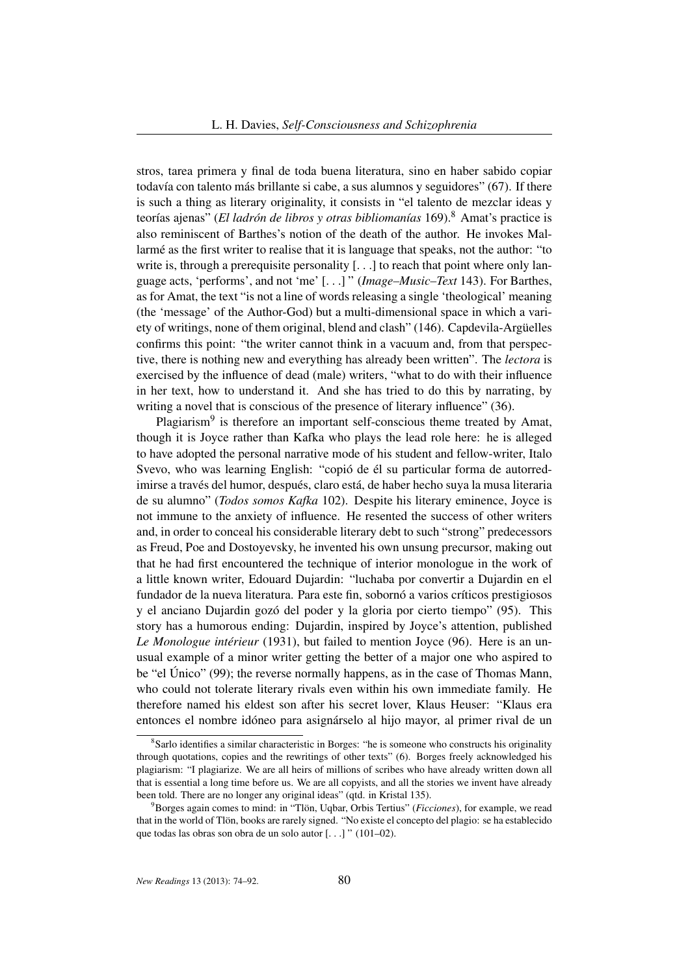stros, tarea primera y final de toda buena literatura, sino en haber sabido copiar todavía con talento más brillante si cabe, a sus alumnos y seguidores" (67). If there is such a thing as literary originality, it consists in "el talento de mezclar ideas y teorías ajenas" (*El ladrón de libros y otras bibliomanías* 169).<sup>8</sup> Amat's practice is also reminiscent of Barthes's notion of the death of the author. He invokes Mallarmé as the first writer to realise that it is language that speaks, not the author: "to write is, through a prerequisite personality [...] to reach that point where only language acts, 'performs', and not 'me' [. . .] " (*Image–Music–Text* 143). For Barthes, as for Amat, the text "is not a line of words releasing a single 'theological' meaning (the 'message' of the Author-God) but a multi-dimensional space in which a variety of writings, none of them original, blend and clash" (146). Capdevila-Argüelles confirms this point: "the writer cannot think in a vacuum and, from that perspective, there is nothing new and everything has already been written". The *lectora* is exercised by the influence of dead (male) writers, "what to do with their influence in her text, how to understand it. And she has tried to do this by narrating, by writing a novel that is conscious of the presence of literary influence" (36).

Plagiarism<sup>9</sup> is therefore an important self-conscious theme treated by Amat, though it is Joyce rather than Kafka who plays the lead role here: he is alleged to have adopted the personal narrative mode of his student and fellow-writer, Italo Svevo, who was learning English: "copió de él su particular forma de autorredimirse a través del humor, después, claro está, de haber hecho suya la musa literaria de su alumno" (*Todos somos Kafka* 102). Despite his literary eminence, Joyce is not immune to the anxiety of influence. He resented the success of other writers and, in order to conceal his considerable literary debt to such "strong" predecessors as Freud, Poe and Dostoyevsky, he invented his own unsung precursor, making out that he had first encountered the technique of interior monologue in the work of a little known writer, Edouard Dujardin: "luchaba por convertir a Dujardin en el fundador de la nueva literatura. Para este fin, sobornó a varios críticos prestigiosos y el anciano Dujardin gozó del poder y la gloria por cierto tiempo" (95). This story has a humorous ending: Dujardin, inspired by Joyce's attention, published *Le Monologue intérieur* (1931), but failed to mention Joyce (96). Here is an unusual example of a minor writer getting the better of a major one who aspired to be "el Único" (99); the reverse normally happens, as in the case of Thomas Mann, who could not tolerate literary rivals even within his own immediate family. He therefore named his eldest son after his secret lover, Klaus Heuser: "Klaus era entonces el nombre idóneo para asignárselo al hijo mayor, al primer rival de un

<sup>&</sup>lt;sup>8</sup>Sarlo identifies a similar characteristic in Borges: "he is someone who constructs his originality through quotations, copies and the rewritings of other texts" (6). Borges freely acknowledged his plagiarism: "I plagiarize. We are all heirs of millions of scribes who have already written down all that is essential a long time before us. We are all copyists, and all the stories we invent have already been told. There are no longer any original ideas" (qtd. in Kristal 135).

<sup>9</sup>Borges again comes to mind: in "Tlön, Uqbar, Orbis Tertius" (*Ficciones*), for example, we read that in the world of Tlön, books are rarely signed. "No existe el concepto del plagio: se ha establecido que todas las obras son obra de un solo autor [. . .] " (101–02).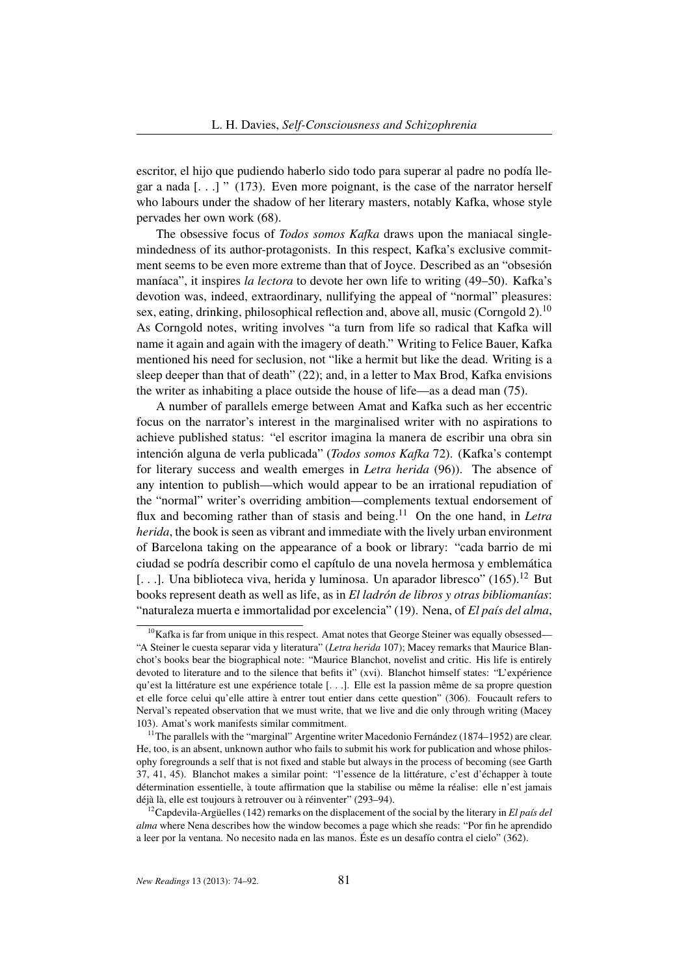escritor, el hijo que pudiendo haberlo sido todo para superar al padre no podía llegar a nada [. . .] " (173). Even more poignant, is the case of the narrator herself who labours under the shadow of her literary masters, notably Kafka, whose style pervades her own work (68).

The obsessive focus of *Todos somos Kafka* draws upon the maniacal singlemindedness of its author-protagonists. In this respect, Kafka's exclusive commitment seems to be even more extreme than that of Joyce. Described as an "obsesión maníaca", it inspires *la lectora* to devote her own life to writing (49–50). Kafka's devotion was, indeed, extraordinary, nullifying the appeal of "normal" pleasures: sex, eating, drinking, philosophical reflection and, above all, music (Corngold 2).<sup>10</sup> As Corngold notes, writing involves "a turn from life so radical that Kafka will name it again and again with the imagery of death." Writing to Felice Bauer, Kafka mentioned his need for seclusion, not "like a hermit but like the dead. Writing is a sleep deeper than that of death" (22); and, in a letter to Max Brod, Kafka envisions the writer as inhabiting a place outside the house of life—as a dead man (75).

A number of parallels emerge between Amat and Kafka such as her eccentric focus on the narrator's interest in the marginalised writer with no aspirations to achieve published status: "el escritor imagina la manera de escribir una obra sin intención alguna de verla publicada" (*Todos somos Kafka* 72). (Kafka's contempt for literary success and wealth emerges in *Letra herida* (96)). The absence of any intention to publish—which would appear to be an irrational repudiation of the "normal" writer's overriding ambition—complements textual endorsement of flux and becoming rather than of stasis and being.<sup>11</sup> On the one hand, in *Letra herida*, the book is seen as vibrant and immediate with the lively urban environment of Barcelona taking on the appearance of a book or library: "cada barrio de mi ciudad se podría describir como el capítulo de una novela hermosa y emblemática [...]. Una biblioteca viva, herida y luminosa. Un aparador libresco" (165).<sup>12</sup> But books represent death as well as life, as in *El ladrón de libros y otras bibliomanías*: "naturaleza muerta e immortalidad por excelencia" (19). Nena, of *El país del alma*,

 $10$ Kafka is far from unique in this respect. Amat notes that George Steiner was equally obsessed— "A Steiner le cuesta separar vida y literatura" (*Letra herida* 107); Macey remarks that Maurice Blanchot's books bear the biographical note: "Maurice Blanchot, novelist and critic. His life is entirely devoted to literature and to the silence that befits it" (xvi). Blanchot himself states: "L'expérience qu'est la littérature est une expérience totale [. . .]. Elle est la passion même de sa propre question et elle force celui qu'elle attire à entrer tout entier dans cette question" (306). Foucault refers to Nerval's repeated observation that we must write, that we live and die only through writing (Macey 103). Amat's work manifests similar commitment.

<sup>&</sup>lt;sup>11</sup>The parallels with the "marginal" Argentine writer Macedonio Fernández (1874–1952) are clear. He, too, is an absent, unknown author who fails to submit his work for publication and whose philosophy foregrounds a self that is not fixed and stable but always in the process of becoming (see Garth 37, 41, 45). Blanchot makes a similar point: "l'essence de la littérature, c'est d'échapper à toute détermination essentielle, à toute affirmation que la stabilise ou même la réalise: elle n'est jamais déjà là, elle est toujours à retrouver ou à réinventer" (293–94).

<sup>12</sup>Capdevila-Argüelles (142) remarks on the displacement of the social by the literary in *El país del alma* where Nena describes how the window becomes a page which she reads: "Por fin he aprendido a leer por la ventana. No necesito nada en las manos. Éste es un desafío contra el cielo" (362).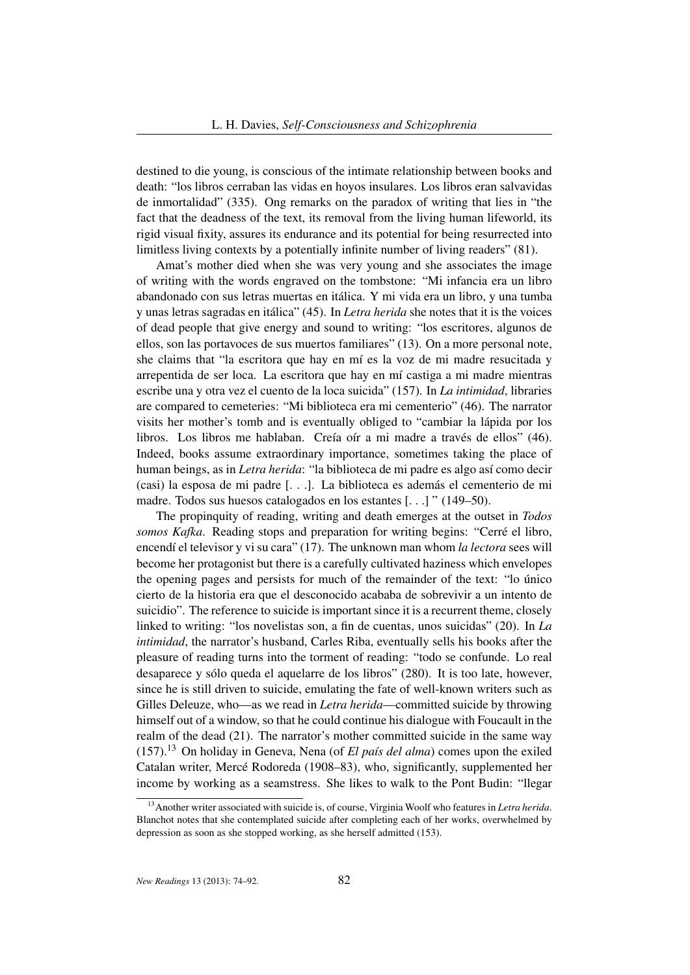destined to die young, is conscious of the intimate relationship between books and death: "los libros cerraban las vidas en hoyos insulares. Los libros eran salvavidas de inmortalidad" (335). Ong remarks on the paradox of writing that lies in "the fact that the deadness of the text, its removal from the living human lifeworld, its rigid visual fixity, assures its endurance and its potential for being resurrected into limitless living contexts by a potentially infinite number of living readers" (81).

Amat's mother died when she was very young and she associates the image of writing with the words engraved on the tombstone: "Mi infancia era un libro abandonado con sus letras muertas en itálica. Y mi vida era un libro, y una tumba y unas letras sagradas en itálica" (45). In *Letra herida* she notes that it is the voices of dead people that give energy and sound to writing: "los escritores, algunos de ellos, son las portavoces de sus muertos familiares" (13). On a more personal note, she claims that "la escritora que hay en mí es la voz de mi madre resucitada y arrepentida de ser loca. La escritora que hay en mí castiga a mi madre mientras escribe una y otra vez el cuento de la loca suicida" (157). In *La intimidad*, libraries are compared to cemeteries: "Mi biblioteca era mi cementerio" (46). The narrator visits her mother's tomb and is eventually obliged to "cambiar la lápida por los libros. Los libros me hablaban. Creía oír a mi madre a través de ellos" (46). Indeed, books assume extraordinary importance, sometimes taking the place of human beings, as in *Letra herida*: "la biblioteca de mi padre es algo así como decir (casi) la esposa de mi padre [. . .]. La biblioteca es además el cementerio de mi madre. Todos sus huesos catalogados en los estantes [. . .] " (149–50).

The propinquity of reading, writing and death emerges at the outset in *Todos somos Kafka*. Reading stops and preparation for writing begins: "Cerré el libro, encendí el televisor y vi su cara" (17). The unknown man whom *la lectora* sees will become her protagonist but there is a carefully cultivated haziness which envelopes the opening pages and persists for much of the remainder of the text: "lo único cierto de la historia era que el desconocido acababa de sobrevivir a un intento de suicidio". The reference to suicide is important since it is a recurrent theme, closely linked to writing: "los novelistas son, a fin de cuentas, unos suicidas" (20). In *La intimidad*, the narrator's husband, Carles Riba, eventually sells his books after the pleasure of reading turns into the torment of reading: "todo se confunde. Lo real desaparece y sólo queda el aquelarre de los libros" (280). It is too late, however, since he is still driven to suicide, emulating the fate of well-known writers such as Gilles Deleuze, who—as we read in *Letra herida*—committed suicide by throwing himself out of a window, so that he could continue his dialogue with Foucault in the realm of the dead (21). The narrator's mother committed suicide in the same way (157).<sup>13</sup> On holiday in Geneva, Nena (of *El país del alma*) comes upon the exiled Catalan writer, Mercé Rodoreda (1908–83), who, significantly, supplemented her income by working as a seamstress. She likes to walk to the Pont Budin: "llegar

<sup>13</sup>Another writer associated with suicide is, of course, Virginia Woolf who features in *Letra herida*. Blanchot notes that she contemplated suicide after completing each of her works, overwhelmed by depression as soon as she stopped working, as she herself admitted (153).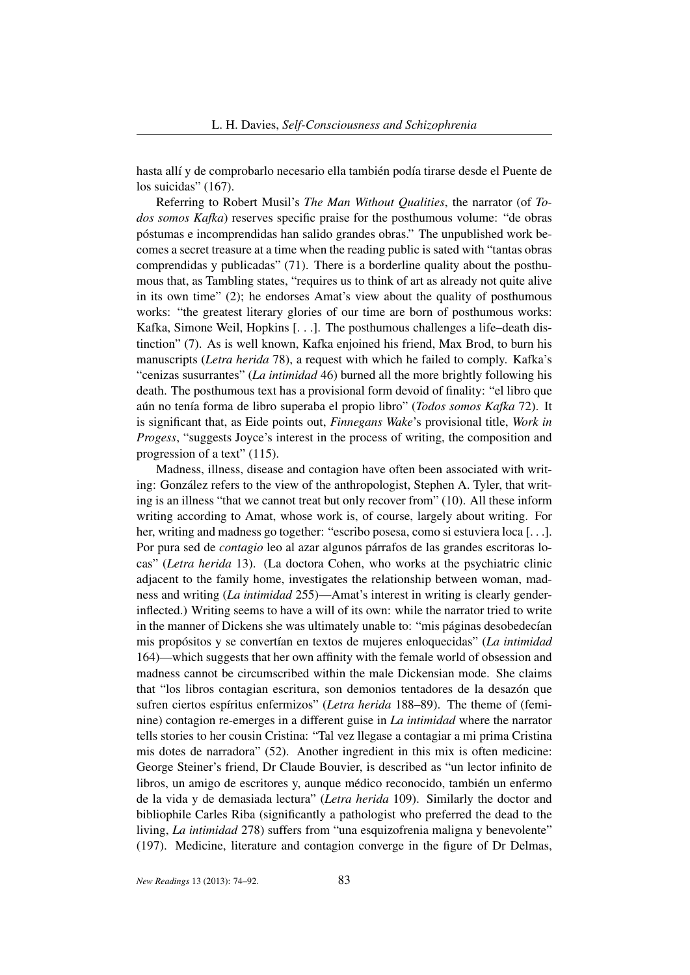hasta allí y de comprobarlo necesario ella también podía tirarse desde el Puente de los suicidas" (167).

Referring to Robert Musil's *The Man Without Qualities*, the narrator (of *Todos somos Kafka*) reserves specific praise for the posthumous volume: "de obras póstumas e incomprendidas han salido grandes obras." The unpublished work becomes a secret treasure at a time when the reading public is sated with "tantas obras comprendidas y publicadas" (71). There is a borderline quality about the posthumous that, as Tambling states, "requires us to think of art as already not quite alive in its own time" (2); he endorses Amat's view about the quality of posthumous works: "the greatest literary glories of our time are born of posthumous works: Kafka, Simone Weil, Hopkins [. . .]. The posthumous challenges a life–death distinction" (7). As is well known, Kafka enjoined his friend, Max Brod, to burn his manuscripts (*Letra herida* 78), a request with which he failed to comply. Kafka's "cenizas susurrantes" (*La intimidad* 46) burned all the more brightly following his death. The posthumous text has a provisional form devoid of finality: "el libro que aún no tenía forma de libro superaba el propio libro" (*Todos somos Kafka* 72). It is significant that, as Eide points out, *Finnegans Wake*'s provisional title, *Work in Progess*, "suggests Joyce's interest in the process of writing, the composition and progression of a text" (115).

Madness, illness, disease and contagion have often been associated with writing: González refers to the view of the anthropologist, Stephen A. Tyler, that writing is an illness "that we cannot treat but only recover from" (10). All these inform writing according to Amat, whose work is, of course, largely about writing. For her, writing and madness go together: "escribo posesa, como si estuviera loca [. . .]. Por pura sed de *contagio* leo al azar algunos párrafos de las grandes escritoras locas" (*Letra herida* 13). (La doctora Cohen, who works at the psychiatric clinic adjacent to the family home, investigates the relationship between woman, madness and writing (*La intimidad* 255)—Amat's interest in writing is clearly genderinflected.) Writing seems to have a will of its own: while the narrator tried to write in the manner of Dickens she was ultimately unable to: "mis páginas desobedecían mis propósitos y se convertían en textos de mujeres enloquecidas" (*La intimidad* 164)—which suggests that her own affinity with the female world of obsession and madness cannot be circumscribed within the male Dickensian mode. She claims that "los libros contagian escritura, son demonios tentadores de la desazón que sufren ciertos espíritus enfermizos" (*Letra herida* 188–89). The theme of (feminine) contagion re-emerges in a different guise in *La intimidad* where the narrator tells stories to her cousin Cristina: "Tal vez llegase a contagiar a mi prima Cristina mis dotes de narradora" (52). Another ingredient in this mix is often medicine: George Steiner's friend, Dr Claude Bouvier, is described as "un lector infinito de libros, un amigo de escritores y, aunque médico reconocido, también un enfermo de la vida y de demasiada lectura" (*Letra herida* 109). Similarly the doctor and bibliophile Carles Riba (significantly a pathologist who preferred the dead to the living, *La intimidad* 278) suffers from "una esquizofrenia maligna y benevolente" (197). Medicine, literature and contagion converge in the figure of Dr Delmas,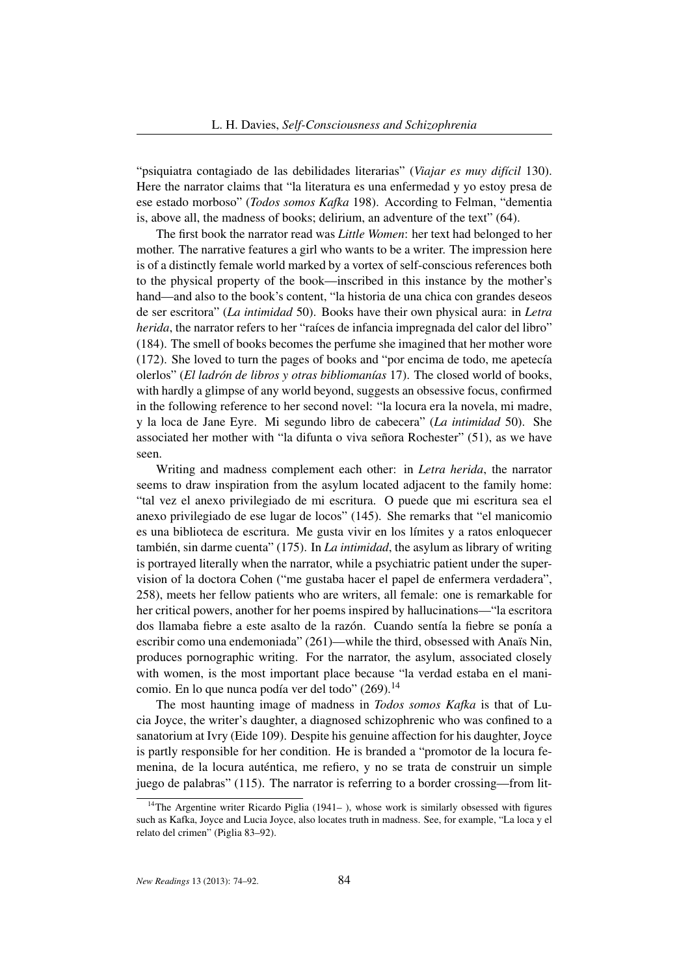"psiquiatra contagiado de las debilidades literarias" (*Viajar es muy difícil* 130). Here the narrator claims that "la literatura es una enfermedad y yo estoy presa de ese estado morboso" (*Todos somos Kafka* 198). According to Felman, "dementia is, above all, the madness of books; delirium, an adventure of the text" (64).

The first book the narrator read was *Little Women*: her text had belonged to her mother. The narrative features a girl who wants to be a writer. The impression here is of a distinctly female world marked by a vortex of self-conscious references both to the physical property of the book—inscribed in this instance by the mother's hand—and also to the book's content, "la historia de una chica con grandes deseos de ser escritora" (*La intimidad* 50). Books have their own physical aura: in *Letra herida*, the narrator refers to her "raíces de infancia impregnada del calor del libro" (184). The smell of books becomes the perfume she imagined that her mother wore (172). She loved to turn the pages of books and "por encima de todo, me apetecía olerlos" (*El ladrón de libros y otras bibliomanías* 17). The closed world of books, with hardly a glimpse of any world beyond, suggests an obsessive focus, confirmed in the following reference to her second novel: "la locura era la novela, mi madre, y la loca de Jane Eyre. Mi segundo libro de cabecera" (*La intimidad* 50). She associated her mother with "la difunta o viva señora Rochester" (51), as we have seen.

Writing and madness complement each other: in *Letra herida*, the narrator seems to draw inspiration from the asylum located adjacent to the family home: "tal vez el anexo privilegiado de mi escritura. O puede que mi escritura sea el anexo privilegiado de ese lugar de locos" (145). She remarks that "el manicomio es una biblioteca de escritura. Me gusta vivir en los límites y a ratos enloquecer también, sin darme cuenta" (175). In *La intimidad*, the asylum as library of writing is portrayed literally when the narrator, while a psychiatric patient under the supervision of la doctora Cohen ("me gustaba hacer el papel de enfermera verdadera", 258), meets her fellow patients who are writers, all female: one is remarkable for her critical powers, another for her poems inspired by hallucinations—"la escritora dos llamaba fiebre a este asalto de la razón. Cuando sentía la fiebre se ponía a escribir como una endemoniada" (261)—while the third, obsessed with Anaïs Nin, produces pornographic writing. For the narrator, the asylum, associated closely with women, is the most important place because "la verdad estaba en el manicomio. En lo que nunca podía ver del todo" (269).<sup>14</sup>

The most haunting image of madness in *Todos somos Kafka* is that of Lucia Joyce, the writer's daughter, a diagnosed schizophrenic who was confined to a sanatorium at Ivry (Eide 109). Despite his genuine affection for his daughter, Joyce is partly responsible for her condition. He is branded a "promotor de la locura femenina, de la locura auténtica, me refiero, y no se trata de construir un simple juego de palabras" (115). The narrator is referring to a border crossing—from lit-

<sup>&</sup>lt;sup>14</sup>The Argentine writer Ricardo Piglia (1941–), whose work is similarly obsessed with figures such as Kafka, Joyce and Lucia Joyce, also locates truth in madness. See, for example, "La loca y el relato del crimen" (Piglia 83–92).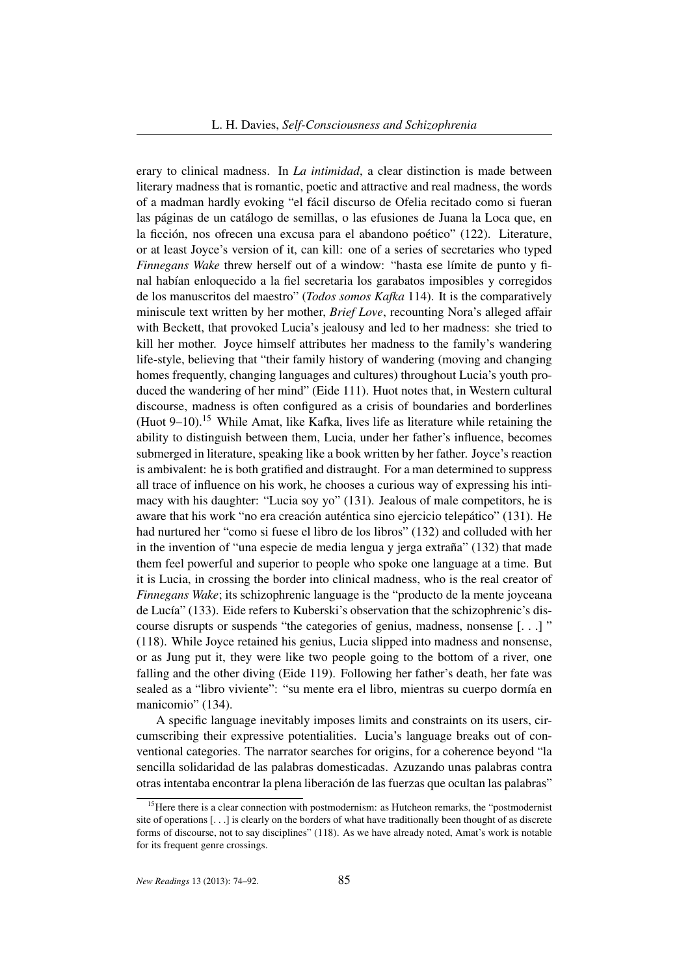erary to clinical madness. In *La intimidad*, a clear distinction is made between literary madness that is romantic, poetic and attractive and real madness, the words of a madman hardly evoking "el fácil discurso de Ofelia recitado como si fueran las páginas de un catálogo de semillas, o las efusiones de Juana la Loca que, en la ficción, nos ofrecen una excusa para el abandono poético" (122). Literature, or at least Joyce's version of it, can kill: one of a series of secretaries who typed *Finnegans Wake* threw herself out of a window: "hasta ese límite de punto y final habían enloquecido a la fiel secretaria los garabatos imposibles y corregidos de los manuscritos del maestro" (*Todos somos Kafka* 114). It is the comparatively miniscule text written by her mother, *Brief Love*, recounting Nora's alleged affair with Beckett, that provoked Lucia's jealousy and led to her madness: she tried to kill her mother. Joyce himself attributes her madness to the family's wandering life-style, believing that "their family history of wandering (moving and changing homes frequently, changing languages and cultures) throughout Lucia's youth produced the wandering of her mind" (Eide 111). Huot notes that, in Western cultural discourse, madness is often configured as a crisis of boundaries and borderlines (Huot  $9-10$ ).<sup>15</sup> While Amat, like Kafka, lives life as literature while retaining the ability to distinguish between them, Lucia, under her father's influence, becomes submerged in literature, speaking like a book written by her father. Joyce's reaction is ambivalent: he is both gratified and distraught. For a man determined to suppress all trace of influence on his work, he chooses a curious way of expressing his intimacy with his daughter: "Lucia soy yo" (131). Jealous of male competitors, he is aware that his work "no era creación auténtica sino ejercicio telepático" (131). He had nurtured her "como si fuese el libro de los libros" (132) and colluded with her in the invention of "una especie de media lengua y jerga extraña" (132) that made them feel powerful and superior to people who spoke one language at a time. But it is Lucia, in crossing the border into clinical madness, who is the real creator of *Finnegans Wake*; its schizophrenic language is the "producto de la mente joyceana de Lucía" (133). Eide refers to Kuberski's observation that the schizophrenic's discourse disrupts or suspends "the categories of genius, madness, nonsense [. . .] " (118). While Joyce retained his genius, Lucia slipped into madness and nonsense, or as Jung put it, they were like two people going to the bottom of a river, one falling and the other diving (Eide 119). Following her father's death, her fate was sealed as a "libro viviente": "su mente era el libro, mientras su cuerpo dormía en manicomio" (134).

A specific language inevitably imposes limits and constraints on its users, circumscribing their expressive potentialities. Lucia's language breaks out of conventional categories. The narrator searches for origins, for a coherence beyond "la sencilla solidaridad de las palabras domesticadas. Azuzando unas palabras contra otras intentaba encontrar la plena liberación de las fuerzas que ocultan las palabras"

<sup>&</sup>lt;sup>15</sup>Here there is a clear connection with postmodernism: as Hutcheon remarks, the "postmodernist site of operations [. . .] is clearly on the borders of what have traditionally been thought of as discrete forms of discourse, not to say disciplines" (118). As we have already noted, Amat's work is notable for its frequent genre crossings.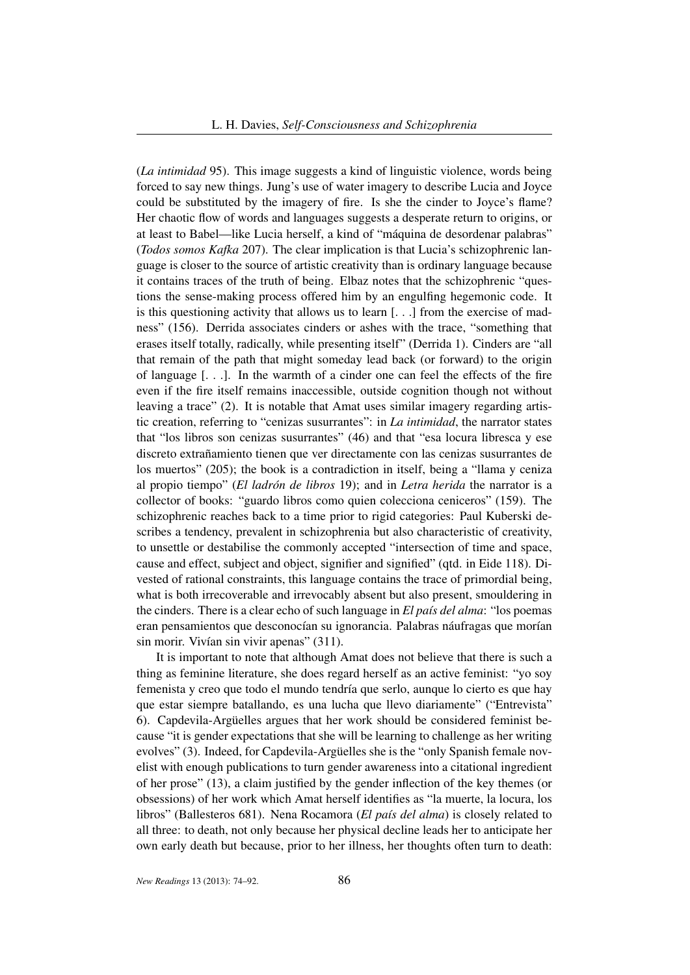(*La intimidad* 95). This image suggests a kind of linguistic violence, words being forced to say new things. Jung's use of water imagery to describe Lucia and Joyce could be substituted by the imagery of fire. Is she the cinder to Joyce's flame? Her chaotic flow of words and languages suggests a desperate return to origins, or at least to Babel—like Lucia herself, a kind of "máquina de desordenar palabras" (*Todos somos Kafka* 207). The clear implication is that Lucia's schizophrenic language is closer to the source of artistic creativity than is ordinary language because it contains traces of the truth of being. Elbaz notes that the schizophrenic "questions the sense-making process offered him by an engulfing hegemonic code. It is this questioning activity that allows us to learn [. . .] from the exercise of madness" (156). Derrida associates cinders or ashes with the trace, "something that erases itself totally, radically, while presenting itself" (Derrida 1). Cinders are "all that remain of the path that might someday lead back (or forward) to the origin of language [. . .]. In the warmth of a cinder one can feel the effects of the fire even if the fire itself remains inaccessible, outside cognition though not without leaving a trace" (2). It is notable that Amat uses similar imagery regarding artistic creation, referring to "cenizas susurrantes": in *La intimidad*, the narrator states that "los libros son cenizas susurrantes" (46) and that "esa locura libresca y ese discreto extrañamiento tienen que ver directamente con las cenizas susurrantes de los muertos" (205); the book is a contradiction in itself, being a "llama y ceniza al propio tiempo" (*El ladrón de libros* 19); and in *Letra herida* the narrator is a collector of books: "guardo libros como quien colecciona ceniceros" (159). The schizophrenic reaches back to a time prior to rigid categories: Paul Kuberski describes a tendency, prevalent in schizophrenia but also characteristic of creativity, to unsettle or destabilise the commonly accepted "intersection of time and space, cause and effect, subject and object, signifier and signified" (qtd. in Eide 118). Divested of rational constraints, this language contains the trace of primordial being, what is both irrecoverable and irrevocably absent but also present, smouldering in the cinders. There is a clear echo of such language in *El país del alma*: "los poemas eran pensamientos que desconocían su ignorancia. Palabras náufragas que morían sin morir. Vivían sin vivir apenas" (311).

It is important to note that although Amat does not believe that there is such a thing as feminine literature, she does regard herself as an active feminist: "yo soy femenista y creo que todo el mundo tendría que serlo, aunque lo cierto es que hay que estar siempre batallando, es una lucha que llevo diariamente" ("Entrevista" 6). Capdevila-Argüelles argues that her work should be considered feminist because "it is gender expectations that she will be learning to challenge as her writing evolves" (3). Indeed, for Capdevila-Argüelles she is the "only Spanish female novelist with enough publications to turn gender awareness into a citational ingredient of her prose" (13), a claim justified by the gender inflection of the key themes (or obsessions) of her work which Amat herself identifies as "la muerte, la locura, los libros" (Ballesteros 681). Nena Rocamora (*El país del alma*) is closely related to all three: to death, not only because her physical decline leads her to anticipate her own early death but because, prior to her illness, her thoughts often turn to death: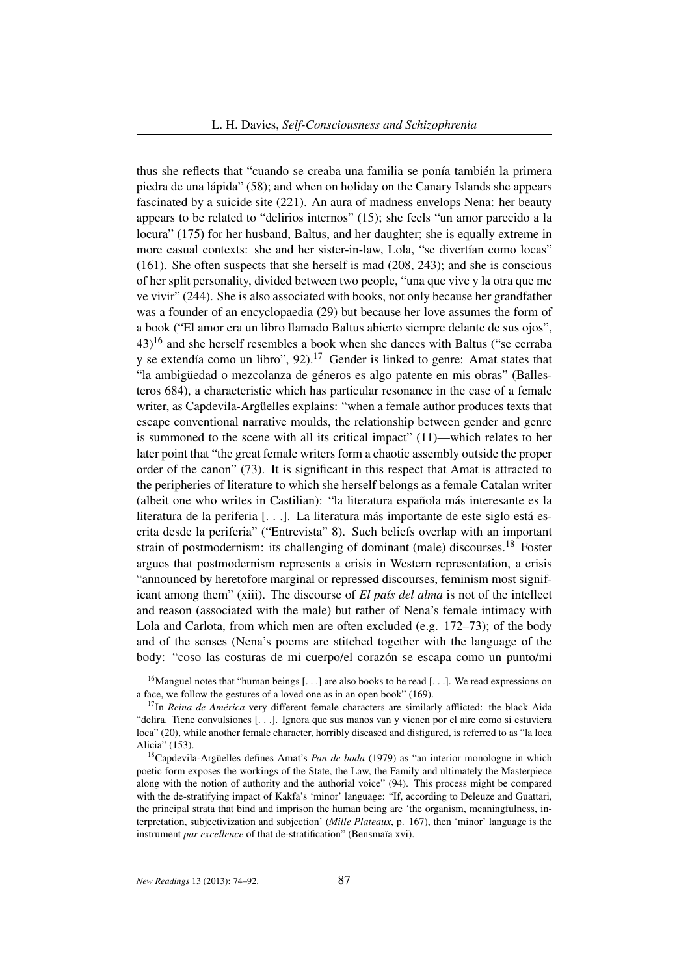thus she reflects that "cuando se creaba una familia se ponía también la primera piedra de una lápida" (58); and when on holiday on the Canary Islands she appears fascinated by a suicide site (221). An aura of madness envelops Nena: her beauty appears to be related to "delirios internos" (15); she feels "un amor parecido a la locura" (175) for her husband, Baltus, and her daughter; she is equally extreme in more casual contexts: she and her sister-in-law, Lola, "se divertían como locas" (161). She often suspects that she herself is mad (208, 243); and she is conscious of her split personality, divided between two people, "una que vive y la otra que me ve vivir" (244). She is also associated with books, not only because her grandfather was a founder of an encyclopaedia (29) but because her love assumes the form of a book ("El amor era un libro llamado Baltus abierto siempre delante de sus ojos", 43)<sup>16</sup> and she herself resembles a book when she dances with Baltus ("se cerraba y se extendía como un libro", 92).<sup>17</sup> Gender is linked to genre: Amat states that "la ambigüedad o mezcolanza de géneros es algo patente en mis obras" (Ballesteros 684), a characteristic which has particular resonance in the case of a female writer, as Capdevila-Argüelles explains: "when a female author produces texts that escape conventional narrative moulds, the relationship between gender and genre is summoned to the scene with all its critical impact" (11)—which relates to her later point that "the great female writers form a chaotic assembly outside the proper order of the canon" (73). It is significant in this respect that Amat is attracted to the peripheries of literature to which she herself belongs as a female Catalan writer (albeit one who writes in Castilian): "la literatura española más interesante es la literatura de la periferia [. . .]. La literatura más importante de este siglo está escrita desde la periferia" ("Entrevista" 8). Such beliefs overlap with an important strain of postmodernism: its challenging of dominant (male) discourses.<sup>18</sup> Foster argues that postmodernism represents a crisis in Western representation, a crisis "announced by heretofore marginal or repressed discourses, feminism most significant among them" (xiii). The discourse of *El país del alma* is not of the intellect and reason (associated with the male) but rather of Nena's female intimacy with Lola and Carlota, from which men are often excluded (e.g. 172–73); of the body and of the senses (Nena's poems are stitched together with the language of the body: "coso las costuras de mi cuerpo/el corazón se escapa como un punto/mi

<sup>&</sup>lt;sup>16</sup>Manguel notes that "human beings [...] are also books to be read [...]. We read expressions on a face, we follow the gestures of a loved one as in an open book" (169).

<sup>&</sup>lt;sup>17</sup>In *Reina de América* very different female characters are similarly afflicted: the black Aida "delira. Tiene convulsiones [. . .]. Ignora que sus manos van y vienen por el aire como si estuviera loca" (20), while another female character, horribly diseased and disfigured, is referred to as "la loca Alicia" (153).

<sup>18</sup>Capdevila-Argüelles defines Amat's *Pan de boda* (1979) as "an interior monologue in which poetic form exposes the workings of the State, the Law, the Family and ultimately the Masterpiece along with the notion of authority and the authorial voice" (94). This process might be compared with the de-stratifying impact of Kakfa's 'minor' language: "If, according to Deleuze and Guattari, the principal strata that bind and imprison the human being are 'the organism, meaningfulness, interpretation, subjectivization and subjection' (*Mille Plateaux*, p. 167), then 'minor' language is the instrument *par excellence* of that de-stratification" (Bensmaïa xvi).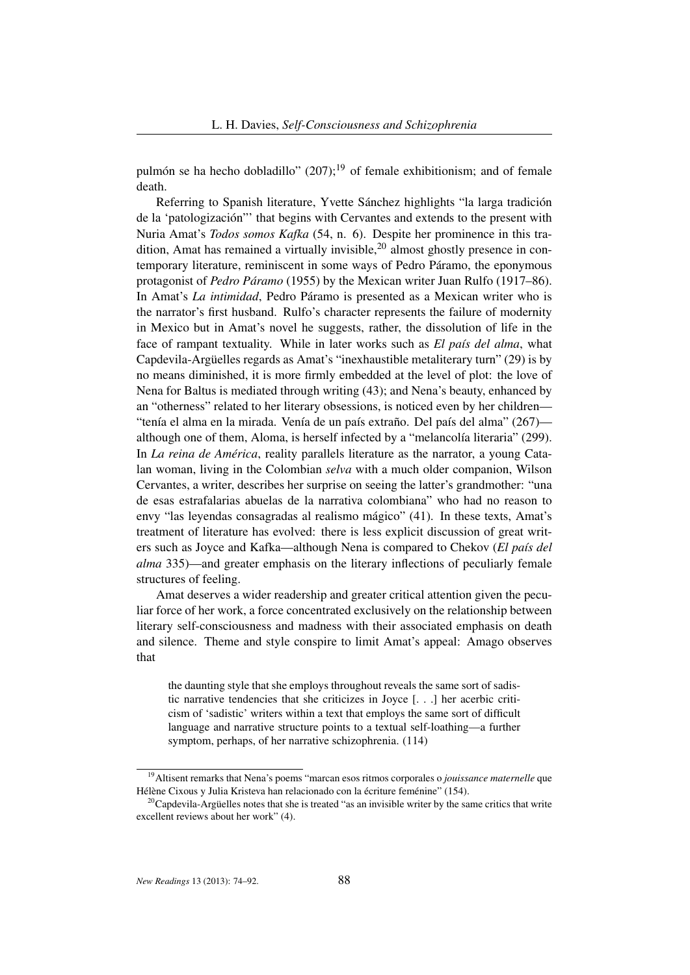pulmón se ha hecho dobladillo"  $(207)$ ;<sup>19</sup> of female exhibitionism; and of female death.

Referring to Spanish literature, Yvette Sánchez highlights "la larga tradición de la 'patologización"' that begins with Cervantes and extends to the present with Nuria Amat's *Todos somos Kafka* (54, n. 6). Despite her prominence in this tradition, Amat has remained a virtually invisible,  $2<sup>0</sup>$  almost ghostly presence in contemporary literature, reminiscent in some ways of Pedro Páramo, the eponymous protagonist of *Pedro Páramo* (1955) by the Mexican writer Juan Rulfo (1917–86). In Amat's *La intimidad*, Pedro Páramo is presented as a Mexican writer who is the narrator's first husband. Rulfo's character represents the failure of modernity in Mexico but in Amat's novel he suggests, rather, the dissolution of life in the face of rampant textuality. While in later works such as *El país del alma*, what Capdevila-Argüelles regards as Amat's "inexhaustible metaliterary turn" (29) is by no means diminished, it is more firmly embedded at the level of plot: the love of Nena for Baltus is mediated through writing (43); and Nena's beauty, enhanced by an "otherness" related to her literary obsessions, is noticed even by her children— "tenía el alma en la mirada. Venía de un país extraño. Del país del alma" (267) although one of them, Aloma, is herself infected by a "melancolía literaria" (299). In *La reina de América*, reality parallels literature as the narrator, a young Catalan woman, living in the Colombian *selva* with a much older companion, Wilson Cervantes, a writer, describes her surprise on seeing the latter's grandmother: "una de esas estrafalarias abuelas de la narrativa colombiana" who had no reason to envy "las leyendas consagradas al realismo mágico" (41). In these texts, Amat's treatment of literature has evolved: there is less explicit discussion of great writers such as Joyce and Kafka—although Nena is compared to Chekov (*El país del alma* 335)—and greater emphasis on the literary inflections of peculiarly female structures of feeling.

Amat deserves a wider readership and greater critical attention given the peculiar force of her work, a force concentrated exclusively on the relationship between literary self-consciousness and madness with their associated emphasis on death and silence. Theme and style conspire to limit Amat's appeal: Amago observes that

the daunting style that she employs throughout reveals the same sort of sadistic narrative tendencies that she criticizes in Joyce [. . .] her acerbic criticism of 'sadistic' writers within a text that employs the same sort of difficult language and narrative structure points to a textual self-loathing—a further symptom, perhaps, of her narrative schizophrenia. (114)

<sup>19</sup>Altisent remarks that Nena's poems "marcan esos ritmos corporales o *jouissance maternelle* que Hélène Cixous y Julia Kristeva han relacionado con la écriture feménine" (154).

 $20$ Capdevila-Argüelles notes that she is treated "as an invisible writer by the same critics that write excellent reviews about her work" (4).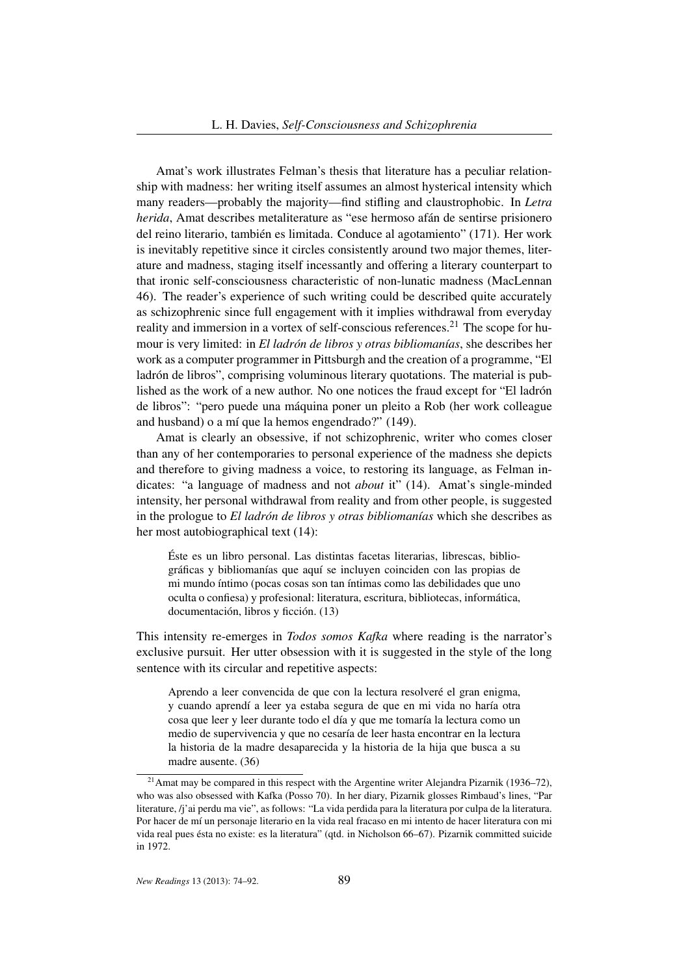Amat's work illustrates Felman's thesis that literature has a peculiar relationship with madness: her writing itself assumes an almost hysterical intensity which many readers—probably the majority—find stifling and claustrophobic. In *Letra herida*, Amat describes metaliterature as "ese hermoso afán de sentirse prisionero del reino literario, también es limitada. Conduce al agotamiento" (171). Her work is inevitably repetitive since it circles consistently around two major themes, literature and madness, staging itself incessantly and offering a literary counterpart to that ironic self-consciousness characteristic of non-lunatic madness (MacLennan 46). The reader's experience of such writing could be described quite accurately as schizophrenic since full engagement with it implies withdrawal from everyday reality and immersion in a vortex of self-conscious references.<sup>21</sup> The scope for humour is very limited: in *El ladrón de libros y otras bibliomanías*, she describes her work as a computer programmer in Pittsburgh and the creation of a programme, "El ladrón de libros", comprising voluminous literary quotations. The material is published as the work of a new author. No one notices the fraud except for "El ladrón de libros": "pero puede una máquina poner un pleito a Rob (her work colleague and husband) o a mí que la hemos engendrado?" (149).

Amat is clearly an obsessive, if not schizophrenic, writer who comes closer than any of her contemporaries to personal experience of the madness she depicts and therefore to giving madness a voice, to restoring its language, as Felman indicates: "a language of madness and not *about* it" (14). Amat's single-minded intensity, her personal withdrawal from reality and from other people, is suggested in the prologue to *El ladrón de libros y otras bibliomanías* which she describes as her most autobiographical text (14):

Éste es un libro personal. Las distintas facetas literarias, librescas, bibliográficas y bibliomanías que aquí se incluyen coinciden con las propias de mi mundo íntimo (pocas cosas son tan íntimas como las debilidades que uno oculta o confiesa) y profesional: literatura, escritura, bibliotecas, informática, documentación, libros y ficción. (13)

This intensity re-emerges in *Todos somos Kafka* where reading is the narrator's exclusive pursuit. Her utter obsession with it is suggested in the style of the long sentence with its circular and repetitive aspects:

Aprendo a leer convencida de que con la lectura resolveré el gran enigma, y cuando aprendí a leer ya estaba segura de que en mi vida no haría otra cosa que leer y leer durante todo el día y que me tomaría la lectura como un medio de supervivencia y que no cesaría de leer hasta encontrar en la lectura la historia de la madre desaparecida y la historia de la hija que busca a su madre ausente. (36)

<sup>&</sup>lt;sup>21</sup> Amat may be compared in this respect with the Argentine writer Alejandra Pizarnik (1936–72), who was also obsessed with Kafka (Posso 70). In her diary, Pizarnik glosses Rimbaud's lines, "Par literature, /j'ai perdu ma vie", as follows: "La vida perdida para la literatura por culpa de la literatura. Por hacer de mí un personaje literario en la vida real fracaso en mi intento de hacer literatura con mi vida real pues ésta no existe: es la literatura" (qtd. in Nicholson 66–67). Pizarnik committed suicide in 1972.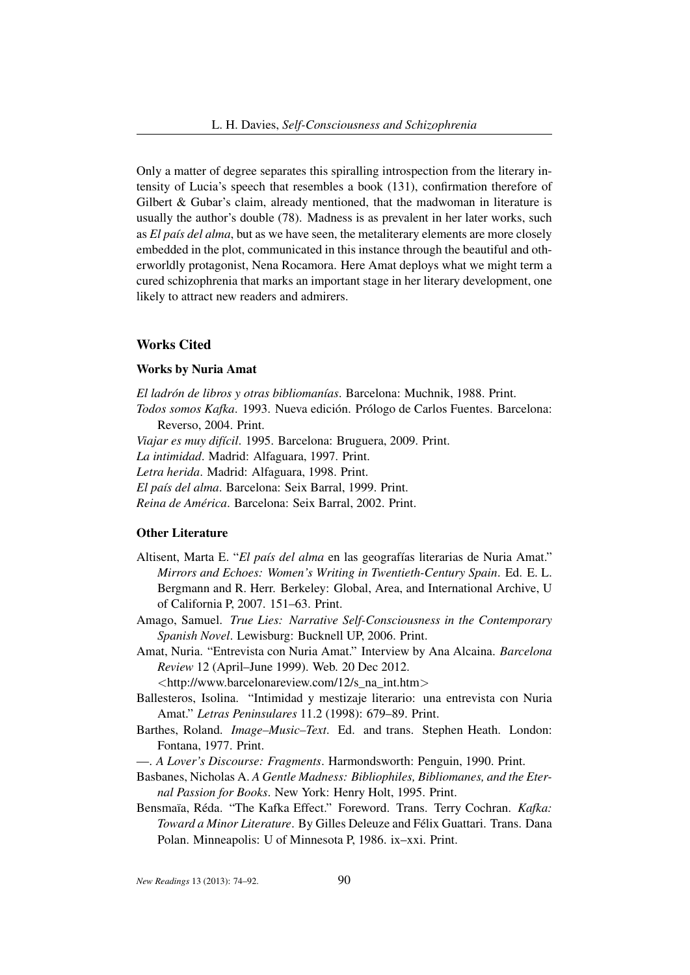Only a matter of degree separates this spiralling introspection from the literary intensity of Lucia's speech that resembles a book (131), confirmation therefore of Gilbert & Gubar's claim, already mentioned, that the madwoman in literature is usually the author's double (78). Madness is as prevalent in her later works, such as *El país del alma*, but as we have seen, the metaliterary elements are more closely embedded in the plot, communicated in this instance through the beautiful and otherworldly protagonist, Nena Rocamora. Here Amat deploys what we might term a cured schizophrenia that marks an important stage in her literary development, one likely to attract new readers and admirers.

## Works Cited

## Works by Nuria Amat

*El ladrón de libros y otras bibliomanías*. Barcelona: Muchnik, 1988. Print.

- *Todos somos Kafka*. 1993. Nueva edición. Prólogo de Carlos Fuentes. Barcelona: Reverso, 2004. Print.
- *Viajar es muy difícil*. 1995. Barcelona: Bruguera, 2009. Print.

*La intimidad*. Madrid: Alfaguara, 1997. Print.

*Letra herida*. Madrid: Alfaguara, 1998. Print.

*El país del alma*. Barcelona: Seix Barral, 1999. Print.

*Reina de América*. Barcelona: Seix Barral, 2002. Print.

## Other Literature

- Altisent, Marta E. "*El país del alma* en las geografías literarias de Nuria Amat." *Mirrors and Echoes: Women's Writing in Twentieth-Century Spain*. Ed. E. L. Bergmann and R. Herr. Berkeley: Global, Area, and International Archive, U of California P, 2007. 151–63. Print.
- Amago, Samuel. *True Lies: Narrative Self-Consciousness in the Contemporary Spanish Novel*. Lewisburg: Bucknell UP, 2006. Print.
- Amat, Nuria. "Entrevista con Nuria Amat." Interview by Ana Alcaina. *Barcelona Review* 12 (April–June 1999). Web. 20 Dec 2012.

<http://www.barcelonareview.com/12/s\_na\_int.htm>

- Ballesteros, Isolina. "Intimidad y mestizaje literario: una entrevista con Nuria Amat." *Letras Peninsulares* 11.2 (1998): 679–89. Print.
- Barthes, Roland. *Image–Music–Text*. Ed. and trans. Stephen Heath. London: Fontana, 1977. Print.

—. *A Lover's Discourse: Fragments*. Harmondsworth: Penguin, 1990. Print.

- Basbanes, Nicholas A. *A Gentle Madness: Bibliophiles, Bibliomanes, and the Eternal Passion for Books*. New York: Henry Holt, 1995. Print.
- Bensmaïa, Réda. "The Kafka Effect." Foreword. Trans. Terry Cochran. *Kafka: Toward a Minor Literature*. By Gilles Deleuze and Félix Guattari. Trans. Dana Polan. Minneapolis: U of Minnesota P, 1986. ix–xxi. Print.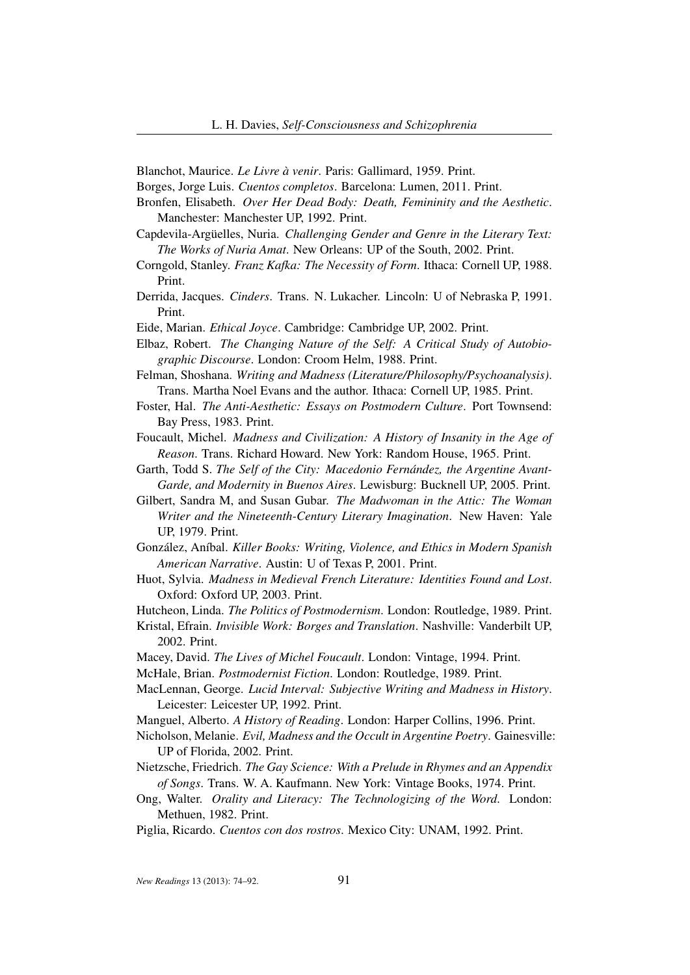Blanchot, Maurice. *Le Livre à venir*. Paris: Gallimard, 1959. Print.

Borges, Jorge Luis. *Cuentos completos*. Barcelona: Lumen, 2011. Print.

- Bronfen, Elisabeth. *Over Her Dead Body: Death, Femininity and the Aesthetic*. Manchester: Manchester UP, 1992. Print.
- Capdevila-Argüelles, Nuria. *Challenging Gender and Genre in the Literary Text: The Works of Nuria Amat*. New Orleans: UP of the South, 2002. Print.
- Corngold, Stanley. *Franz Kafka: The Necessity of Form*. Ithaca: Cornell UP, 1988. Print.
- Derrida, Jacques. *Cinders*. Trans. N. Lukacher. Lincoln: U of Nebraska P, 1991. Print.

Eide, Marian. *Ethical Joyce*. Cambridge: Cambridge UP, 2002. Print.

Elbaz, Robert. *The Changing Nature of the Self: A Critical Study of Autobiographic Discourse*. London: Croom Helm, 1988. Print.

- Felman, Shoshana. *Writing and Madness (Literature/Philosophy/Psychoanalysis)*. Trans. Martha Noel Evans and the author. Ithaca: Cornell UP, 1985. Print.
- Foster, Hal. *The Anti-Aesthetic: Essays on Postmodern Culture*. Port Townsend: Bay Press, 1983. Print.
- Foucault, Michel. *Madness and Civilization: A History of Insanity in the Age of Reason*. Trans. Richard Howard. New York: Random House, 1965. Print.
- Garth, Todd S. *The Self of the City: Macedonio Fernández, the Argentine Avant-Garde, and Modernity in Buenos Aires*. Lewisburg: Bucknell UP, 2005. Print.
- Gilbert, Sandra M, and Susan Gubar. *The Madwoman in the Attic: The Woman Writer and the Nineteenth-Century Literary Imagination*. New Haven: Yale UP, 1979. Print.
- González, Aníbal. *Killer Books: Writing, Violence, and Ethics in Modern Spanish American Narrative*. Austin: U of Texas P, 2001. Print.
- Huot, Sylvia. *Madness in Medieval French Literature: Identities Found and Lost*. Oxford: Oxford UP, 2003. Print.
- Hutcheon, Linda. *The Politics of Postmodernism*. London: Routledge, 1989. Print.
- Kristal, Efrain. *Invisible Work: Borges and Translation*. Nashville: Vanderbilt UP, 2002. Print.
- Macey, David. *The Lives of Michel Foucault*. London: Vintage, 1994. Print.
- McHale, Brian. *Postmodernist Fiction*. London: Routledge, 1989. Print.
- MacLennan, George. *Lucid Interval: Subjective Writing and Madness in History*. Leicester: Leicester UP, 1992. Print.
- Manguel, Alberto. *A History of Reading*. London: Harper Collins, 1996. Print.
- Nicholson, Melanie. *Evil, Madness and the Occult in Argentine Poetry*. Gainesville: UP of Florida, 2002. Print.
- Nietzsche, Friedrich. *The Gay Science: With a Prelude in Rhymes and an Appendix of Songs*. Trans. W. A. Kaufmann. New York: Vintage Books, 1974. Print.
- Ong, Walter. *Orality and Literacy: The Technologizing of the Word*. London: Methuen, 1982. Print.
- Piglia, Ricardo. *Cuentos con dos rostros*. Mexico City: UNAM, 1992. Print.